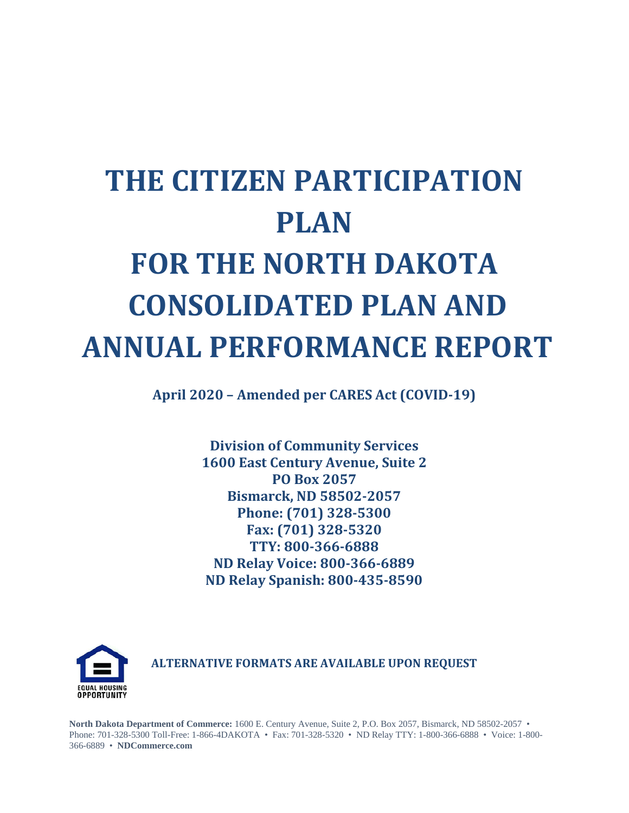# **THE CITIZEN PARTICIPATION PLAN FOR THE NORTH DAKOTA CONSOLIDATED PLAN AND ANNUAL PERFORMANCE REPORT**

**April 2020 – Amended per CARES Act (COVID-19)**

**Division of Community Services 1600 East Century Avenue, Suite 2 PO Box 2057 Bismarck, ND 58502-2057 Phone: (701) 328-5300 Fax: (701) 328-5320 TTY: 800-366-6888 ND Relay Voice: 800-366-6889 ND Relay Spanish: 800-435-8590**



**ALTERNATIVE FORMATS ARE AVAILABLE UPON REQUEST**

**North Dakota Department of Commerce:** 1600 E. Century Avenue, Suite 2, P.O. Box 2057, Bismarck, ND 58502-2057 • Phone: 701-328-5300 Toll-Free: 1-866-4DAKOTA • Fax: 701-328-5320 • ND Relay TTY: 1-800-366-6888 • Voice: 1-800- 366-6889 • **NDCommerce.com**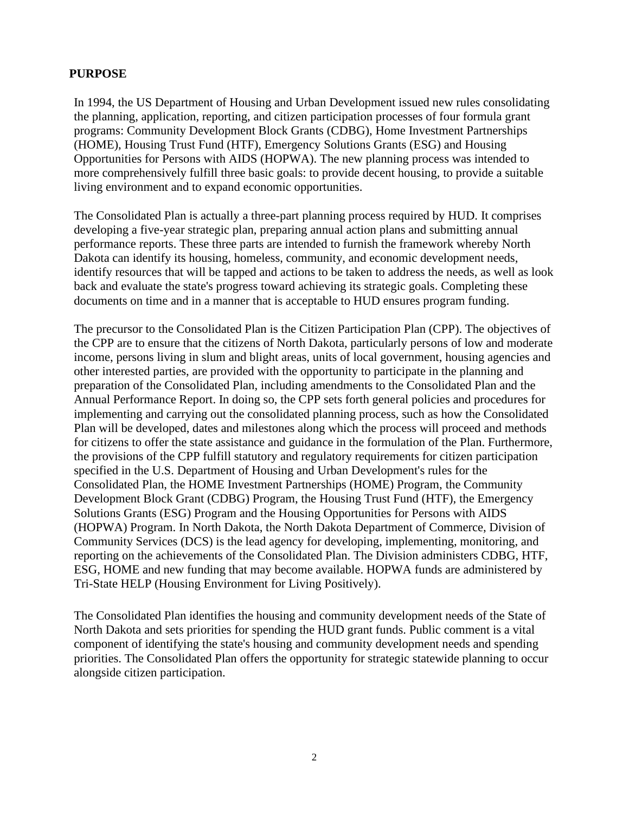#### **PURPOSE**

In 1994, the US Department of Housing and Urban Development issued new rules consolidating the planning, application, reporting, and citizen participation processes of four formula grant programs: Community Development Block Grants (CDBG), Home Investment Partnerships (HOME), Housing Trust Fund (HTF), Emergency Solutions Grants (ESG) and Housing Opportunities for Persons with AIDS (HOPWA). The new planning process was intended to more comprehensively fulfill three basic goals: to provide decent housing, to provide a suitable living environment and to expand economic opportunities.

The Consolidated Plan is actually a three-part planning process required by HUD. It comprises developing a five-year strategic plan, preparing annual action plans and submitting annual performance reports. These three parts are intended to furnish the framework whereby North Dakota can identify its housing, homeless, community, and economic development needs, identify resources that will be tapped and actions to be taken to address the needs, as well as look back and evaluate the state's progress toward achieving its strategic goals. Completing these documents on time and in a manner that is acceptable to HUD ensures program funding.

The precursor to the Consolidated Plan is the Citizen Participation Plan (CPP). The objectives of the CPP are to ensure that the citizens of North Dakota, particularly persons of low and moderate income, persons living in slum and blight areas, units of local government, housing agencies and other interested parties, are provided with the opportunity to participate in the planning and preparation of the Consolidated Plan, including amendments to the Consolidated Plan and the Annual Performance Report. In doing so, the CPP sets forth general policies and procedures for implementing and carrying out the consolidated planning process, such as how the Consolidated Plan will be developed, dates and milestones along which the process will proceed and methods for citizens to offer the state assistance and guidance in the formulation of the Plan. Furthermore, the provisions of the CPP fulfill statutory and regulatory requirements for citizen participation specified in the U.S. Department of Housing and Urban Development's rules for the Consolidated Plan, the HOME Investment Partnerships (HOME) Program, the Community Development Block Grant (CDBG) Program, the Housing Trust Fund (HTF), the Emergency Solutions Grants (ESG) Program and the Housing Opportunities for Persons with AIDS (HOPWA) Program. In North Dakota, the North Dakota Department of Commerce, Division of Community Services (DCS) is the lead agency for developing, implementing, monitoring, and reporting on the achievements of the Consolidated Plan. The Division administers CDBG, HTF, ESG, HOME and new funding that may become available. HOPWA funds are administered by Tri-State HELP (Housing Environment for Living Positively).

The Consolidated Plan identifies the housing and community development needs of the State of North Dakota and sets priorities for spending the HUD grant funds. Public comment is a vital component of identifying the state's housing and community development needs and spending priorities. The Consolidated Plan offers the opportunity for strategic statewide planning to occur alongside citizen participation.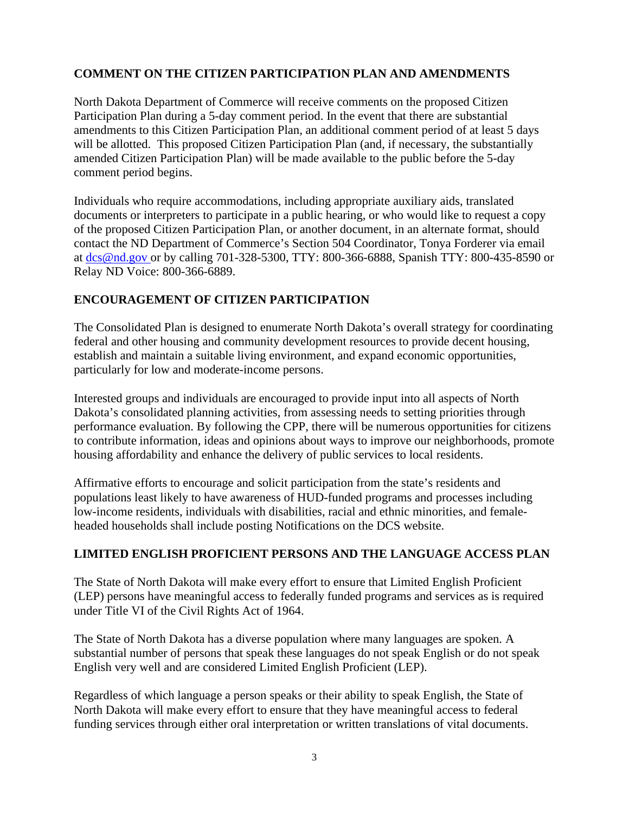## **COMMENT ON THE CITIZEN PARTICIPATION PLAN AND AMENDMENTS**

North Dakota Department of Commerce will receive comments on the proposed Citizen Participation Plan during a 5-day comment period. In the event that there are substantial amendments to this Citizen Participation Plan, an additional comment period of at least 5 days will be allotted. This proposed Citizen Participation Plan (and, if necessary, the substantially amended Citizen Participation Plan) will be made available to the public before the 5-day comment period begins.

Individuals who require accommodations, including appropriate auxiliary aids, translated documents or interpreters to participate in a public hearing, or who would like to request a copy of the proposed Citizen Participation Plan, or another document, in an alternate format, should contact the ND Department of Commerce's Section 504 Coordinator, Tonya Forderer via email at [dcs@nd.gov o](mailto:dcs@nd.gov)r by calling 701-328-5300, TTY: 800-366-6888, Spanish TTY: 800-435-8590 or Relay ND Voice: 800-366-6889.

#### **ENCOURAGEMENT OF CITIZEN PARTICIPATION**

The Consolidated Plan is designed to enumerate North Dakota's overall strategy for coordinating federal and other housing and community development resources to provide decent housing, establish and maintain a suitable living environment, and expand economic opportunities, particularly for low and moderate-income persons.

Interested groups and individuals are encouraged to provide input into all aspects of North Dakota's consolidated planning activities, from assessing needs to setting priorities through performance evaluation. By following the CPP, there will be numerous opportunities for citizens to contribute information, ideas and opinions about ways to improve our neighborhoods, promote housing affordability and enhance the delivery of public services to local residents.

Affirmative efforts to encourage and solicit participation from the state's residents and populations least likely to have awareness of HUD-funded programs and processes including low-income residents, individuals with disabilities, racial and ethnic minorities, and femaleheaded households shall include posting Notifications on the DCS website.

#### **LIMITED ENGLISH PROFICIENT PERSONS AND THE LANGUAGE ACCESS PLAN**

The State of North Dakota will make every effort to ensure that Limited English Proficient (LEP) persons have meaningful access to federally funded programs and services as is required under Title VI of the Civil Rights Act of 1964.

The State of North Dakota has a diverse population where many languages are spoken. A substantial number of persons that speak these languages do not speak English or do not speak English very well and are considered Limited English Proficient (LEP).

Regardless of which language a person speaks or their ability to speak English, the State of North Dakota will make every effort to ensure that they have meaningful access to federal funding services through either oral interpretation or written translations of vital documents.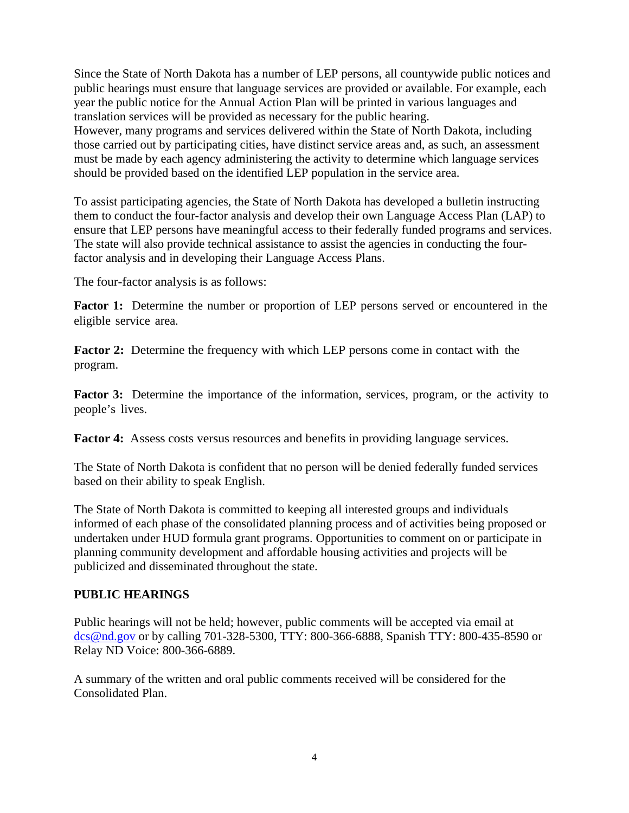Since the State of North Dakota has a number of LEP persons, all countywide public notices and public hearings must ensure that language services are provided or available. For example, each year the public notice for the Annual Action Plan will be printed in various languages and translation services will be provided as necessary for the public hearing. However, many programs and services delivered within the State of North Dakota, including those carried out by participating cities, have distinct service areas and, as such, an assessment must be made by each agency administering the activity to determine which language services should be provided based on the identified LEP population in the service area.

To assist participating agencies, the State of North Dakota has developed a bulletin instructing them to conduct the four-factor analysis and develop their own Language Access Plan (LAP) to ensure that LEP persons have meaningful access to their federally funded programs and services. The state will also provide technical assistance to assist the agencies in conducting the fourfactor analysis and in developing their Language Access Plans.

The four-factor analysis is as follows:

**Factor 1:** Determine the number or proportion of LEP persons served or encountered in the eligible service area.

**Factor 2:** Determine the frequency with which LEP persons come in contact with the program.

**Factor 3:** Determine the importance of the information, services, program, or the activity to people's lives.

**Factor 4:** Assess costs versus resources and benefits in providing language services.

The State of North Dakota is confident that no person will be denied federally funded services based on their ability to speak English.

The State of North Dakota is committed to keeping all interested groups and individuals informed of each phase of the consolidated planning process and of activities being proposed or undertaken under HUD formula grant programs. Opportunities to comment on or participate in planning community development and affordable housing activities and projects will be publicized and disseminated throughout the state.

#### **PUBLIC HEARINGS**

Public hearings will not be held; however, public comments will be accepted via email at [dcs@nd.gov](mailto:dcs@nd.gov) or by calling 701-328-5300, TTY: 800-366-6888, Spanish TTY: 800-435-8590 or Relay ND Voice: 800-366-6889.

A summary of the written and oral public comments received will be considered for the Consolidated Plan.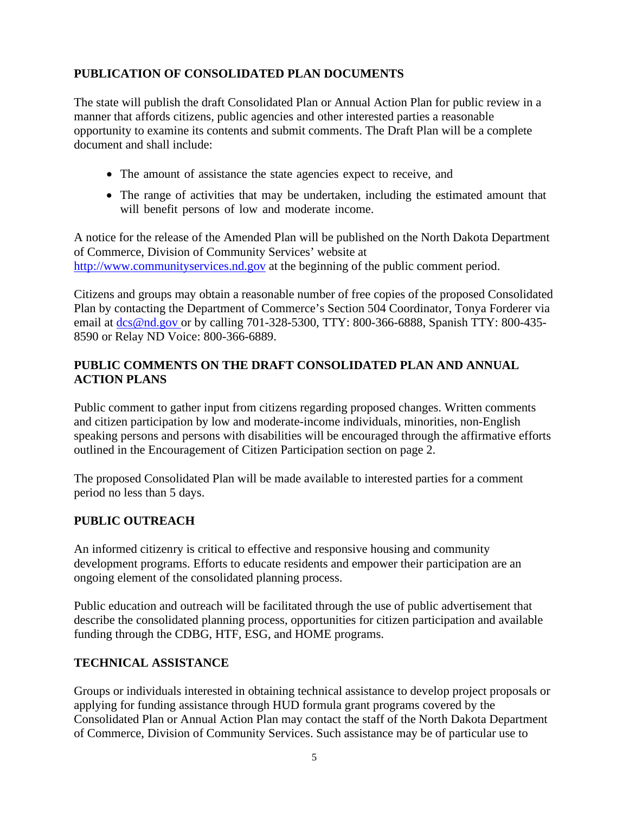# **PUBLICATION OF CONSOLIDATED PLAN DOCUMENTS**

The state will publish the draft Consolidated Plan or Annual Action Plan for public review in a manner that affords citizens, public agencies and other interested parties a reasonable opportunity to examine its contents and submit comments. The Draft Plan will be a complete document and shall include:

- The amount of assistance the state agencies expect to receive, and
- The range of activities that may be undertaken, including the estimated amount that will benefit persons of low and moderate income.

A notice for the release of the Amended Plan will be published on the North Dakota Department of Commerce, Division of Community Services' website at [http://www.communityservices.nd.gov](http://www.communityservices.nd.gov/) at the beginning of the public comment period.

Citizens and groups may obtain a reasonable number of free copies of the proposed Consolidated Plan by contacting the Department of Commerce's Section 504 Coordinator, Tonya Forderer via email at [dcs@nd.gov o](mailto:dcs@nd.gov)r by calling 701-328-5300, TTY: 800-366-6888, Spanish TTY: 800-435-8590 or Relay ND Voice: 800-366-6889.

#### **PUBLIC COMMENTS ON THE DRAFT CONSOLIDATED PLAN AND ANNUAL ACTION PLANS**

Public comment to gather input from citizens regarding proposed changes. Written comments and citizen participation by low and moderate-income individuals, minorities, non-English speaking persons and persons with disabilities will be encouraged through the affirmative efforts outlined in the Encouragement of Citizen Participation section on page 2.

The proposed Consolidated Plan will be made available to interested parties for a comment period no less than 5 days.

#### **PUBLIC OUTREACH**

An informed citizenry is critical to effective and responsive housing and community development programs. Efforts to educate residents and empower their participation are an ongoing element of the consolidated planning process.

Public education and outreach will be facilitated through the use of public advertisement that describe the consolidated planning process, opportunities for citizen participation and available funding through the CDBG, HTF, ESG, and HOME programs.

#### **TECHNICAL ASSISTANCE**

Groups or individuals interested in obtaining technical assistance to develop project proposals or applying for funding assistance through HUD formula grant programs covered by the Consolidated Plan or Annual Action Plan may contact the staff of the North Dakota Department of Commerce, Division of Community Services. Such assistance may be of particular use to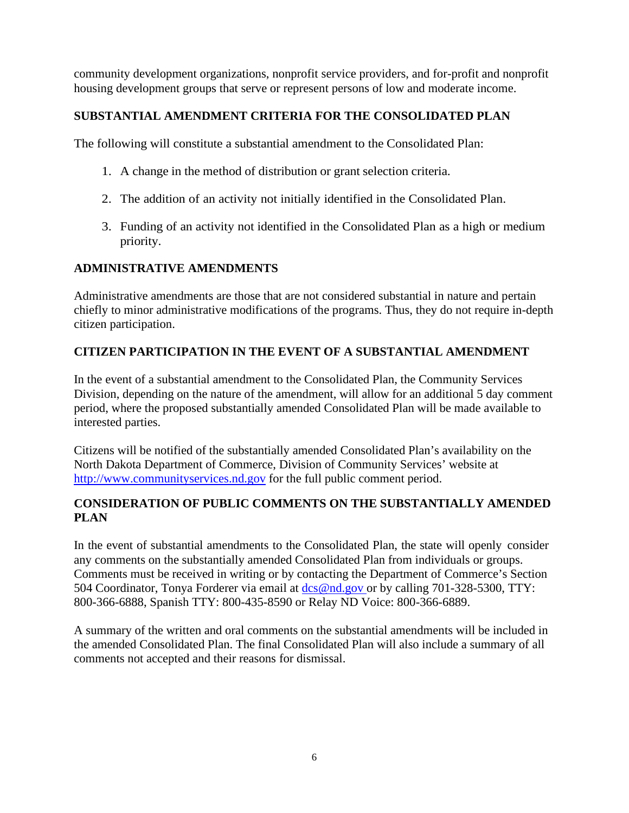community development organizations, nonprofit service providers, and for-profit and nonprofit housing development groups that serve or represent persons of low and moderate income.

# **SUBSTANTIAL AMENDMENT CRITERIA FOR THE CONSOLIDATED PLAN**

The following will constitute a substantial amendment to the Consolidated Plan:

- 1. A change in the method of distribution or grant selection criteria.
- 2. The addition of an activity not initially identified in the Consolidated Plan.
- 3. Funding of an activity not identified in the Consolidated Plan as a high or medium priority.

#### **ADMINISTRATIVE AMENDMENTS**

Administrative amendments are those that are not considered substantial in nature and pertain chiefly to minor administrative modifications of the programs. Thus, they do not require in-depth citizen participation.

#### **CITIZEN PARTICIPATION IN THE EVENT OF A SUBSTANTIAL AMENDMENT**

In the event of a substantial amendment to the Consolidated Plan, the Community Services Division, depending on the nature of the amendment, will allow for an additional 5 day comment period, where the proposed substantially amended Consolidated Plan will be made available to interested parties.

Citizens will be notified of the substantially amended Consolidated Plan's availability on the North Dakota Department of Commerce, Division of Community Services' website at [http://www.communityservices.nd.gov](http://www.communityservices.nd.gov/) for the full public comment period.

## **CONSIDERATION OF PUBLIC COMMENTS ON THE SUBSTANTIALLY AMENDED PLAN**

In the event of substantial amendments to the Consolidated Plan, the state will openly consider any comments on the substantially amended Consolidated Plan from individuals or groups. Comments must be received in writing or by contacting the Department of Commerce's Section 504 Coordinator, Tonya Forderer via email at [dcs@nd.gov o](mailto:dcs@nd.gov)r by calling 701-328-5300, TTY: 800-366-6888, Spanish TTY: 800-435-8590 or Relay ND Voice: 800-366-6889.

A summary of the written and oral comments on the substantial amendments will be included in the amended Consolidated Plan. The final Consolidated Plan will also include a summary of all comments not accepted and their reasons for dismissal.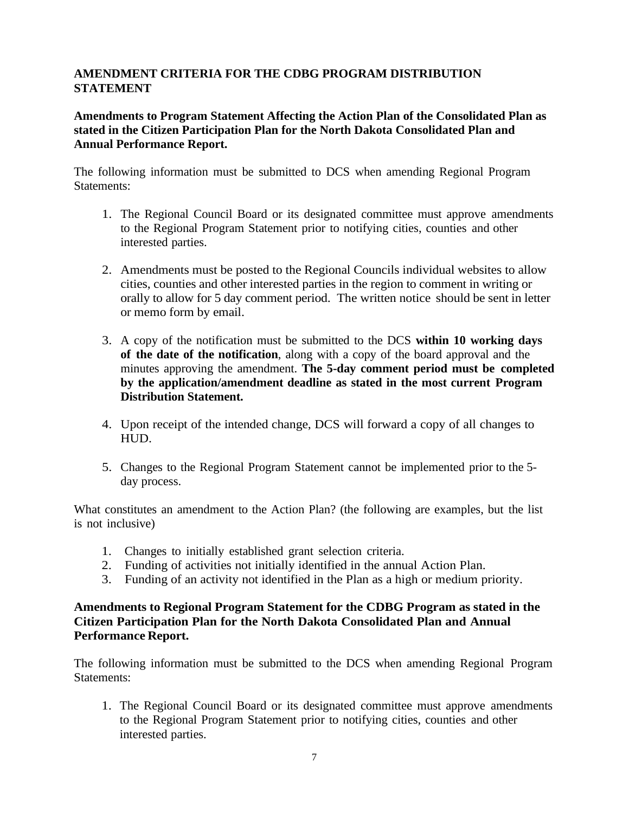## **AMENDMENT CRITERIA FOR THE CDBG PROGRAM DISTRIBUTION STATEMENT**

#### **Amendments to Program Statement Affecting the Action Plan of the Consolidated Plan as stated in the Citizen Participation Plan for the North Dakota Consolidated Plan and Annual Performance Report.**

The following information must be submitted to DCS when amending Regional Program Statements:

- 1. The Regional Council Board or its designated committee must approve amendments to the Regional Program Statement prior to notifying cities, counties and other interested parties.
- 2. Amendments must be posted to the Regional Councils individual websites to allow cities, counties and other interested parties in the region to comment in writing or orally to allow for 5 day comment period. The written notice should be sent in letter or memo form by email.
- 3. A copy of the notification must be submitted to the DCS **within 10 working days of the date of the notification**, along with a copy of the board approval and the minutes approving the amendment. **The 5-day comment period must be completed by the application/amendment deadline as stated in the most current Program Distribution Statement.**
- 4. Upon receipt of the intended change, DCS will forward a copy of all changes to HUD.
- 5. Changes to the Regional Program Statement cannot be implemented prior to the 5 day process.

What constitutes an amendment to the Action Plan? (the following are examples, but the list is not inclusive)

- 1. Changes to initially established grant selection criteria.
- 2. Funding of activities not initially identified in the annual Action Plan.
- 3. Funding of an activity not identified in the Plan as a high or medium priority.

#### **Amendments to Regional Program Statement for the CDBG Program as stated in the Citizen Participation Plan for the North Dakota Consolidated Plan and Annual Performance Report.**

The following information must be submitted to the DCS when amending Regional Program Statements:

1. The Regional Council Board or its designated committee must approve amendments to the Regional Program Statement prior to notifying cities, counties and other interested parties.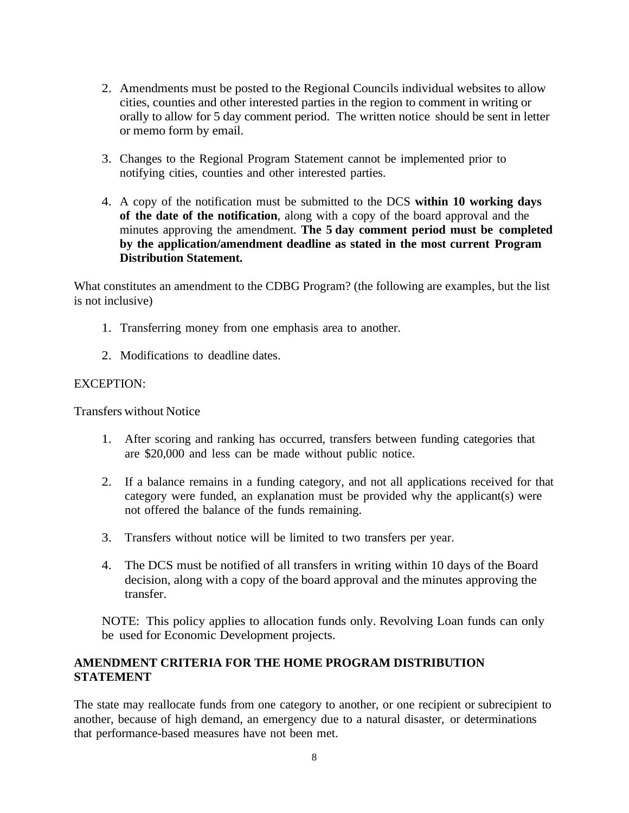- 2. Amendments must be posted to the Regional Councils individual websites to allow cities, counties and other interested parties in the region to comment in writing or orally to allow for 5 day comment period. The written notice should be sent in letter or memo form by email.
- 3. Changes to the Regional Program Statement cannot be implemented prior to notifying cities, counties and other interested parties.
- 4. A copy of the notification must be submitted to the DCS **within 10 working days of the date of the notification**, along with a copy of the board approval and the minutes approving the amendment. **The 5 day comment period must be completed by the application/amendment deadline as stated in the most current Program Distribution Statement.**

What constitutes an amendment to the CDBG Program? (the following are examples, but the list is not inclusive)

- 1. Transferring money from one emphasis area to another.
- 2. Modifications to deadline dates.

#### EXCEPTION:

Transfers without Notice

- 1. After scoring and ranking has occurred, transfers between funding categories that are \$20,000 and less can be made without public notice.
- 2. If a balance remains in a funding category, and not all applications received for that category were funded, an explanation must be provided why the applicant(s) were not offered the balance of the funds remaining.
- 3. Transfers without notice will be limited to two transfers per year.
- 4. The DCS must be notified of all transfers in writing within 10 days of the Board decision, along with a copy of the board approval and the minutes approving the transfer.

NOTE: This policy applies to allocation funds only. Revolving Loan funds can only be used for Economic Development projects.

#### **AMENDMENT CRITERIA FOR THE HOME PROGRAM DISTRIBUTION STATEMENT**

The state may reallocate funds from one category to another, or one recipient or subrecipient to another, because of high demand, an emergency due to a natural disaster, or determinations that performance-based measures have not been met.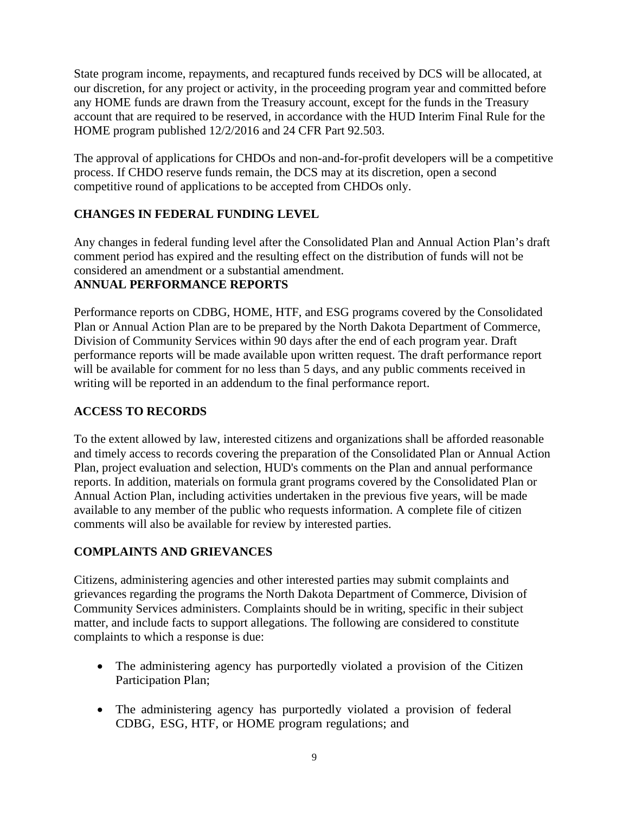State program income, repayments, and recaptured funds received by DCS will be allocated, at our discretion, for any project or activity, in the proceeding program year and committed before any HOME funds are drawn from the Treasury account, except for the funds in the Treasury account that are required to be reserved, in accordance with the HUD Interim Final Rule for the HOME program published 12/2/2016 and 24 CFR Part 92.503.

The approval of applications for CHDOs and non-and-for-profit developers will be a competitive process. If CHDO reserve funds remain, the DCS may at its discretion, open a second competitive round of applications to be accepted from CHDOs only.

# **CHANGES IN FEDERAL FUNDING LEVEL**

Any changes in federal funding level after the Consolidated Plan and Annual Action Plan's draft comment period has expired and the resulting effect on the distribution of funds will not be considered an amendment or a substantial amendment.

# **ANNUAL PERFORMANCE REPORTS**

Performance reports on CDBG, HOME, HTF, and ESG programs covered by the Consolidated Plan or Annual Action Plan are to be prepared by the North Dakota Department of Commerce, Division of Community Services within 90 days after the end of each program year. Draft performance reports will be made available upon written request. The draft performance report will be available for comment for no less than 5 days, and any public comments received in writing will be reported in an addendum to the final performance report.

# **ACCESS TO RECORDS**

To the extent allowed by law, interested citizens and organizations shall be afforded reasonable and timely access to records covering the preparation of the Consolidated Plan or Annual Action Plan, project evaluation and selection, HUD's comments on the Plan and annual performance reports. In addition, materials on formula grant programs covered by the Consolidated Plan or Annual Action Plan, including activities undertaken in the previous five years, will be made available to any member of the public who requests information. A complete file of citizen comments will also be available for review by interested parties.

# **COMPLAINTS AND GRIEVANCES**

Citizens, administering agencies and other interested parties may submit complaints and grievances regarding the programs the North Dakota Department of Commerce, Division of Community Services administers. Complaints should be in writing, specific in their subject matter, and include facts to support allegations. The following are considered to constitute complaints to which a response is due:

- The administering agency has purportedly violated a provision of the Citizen Participation Plan;
- The administering agency has purportedly violated a provision of federal CDBG, ESG, HTF, or HOME program regulations; and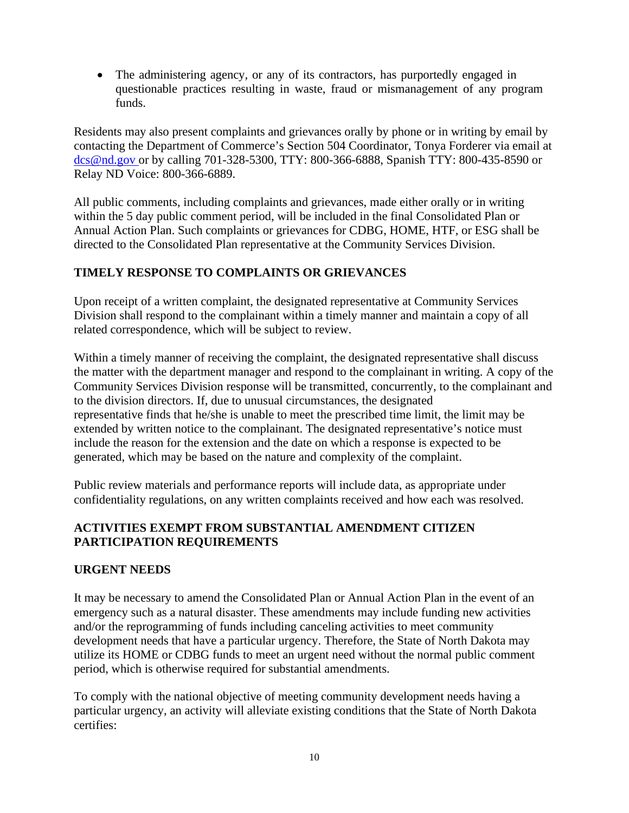• The administering agency, or any of its contractors, has purportedly engaged in questionable practices resulting in waste, fraud or mismanagement of any program funds.

Residents may also present complaints and grievances orally by phone or in writing by email by contacting the Department of Commerce's Section 504 Coordinator, Tonya Forderer via email at [dcs@nd.gov o](mailto:dcs@nd.gov)r by calling 701-328-5300, TTY: 800-366-6888, Spanish TTY: 800-435-8590 or Relay ND Voice: 800-366-6889.

All public comments, including complaints and grievances, made either orally or in writing within the 5 day public comment period, will be included in the final Consolidated Plan or Annual Action Plan. Such complaints or grievances for CDBG, HOME, HTF, or ESG shall be directed to the Consolidated Plan representative at the Community Services Division.

## **TIMELY RESPONSE TO COMPLAINTS OR GRIEVANCES**

Upon receipt of a written complaint, the designated representative at Community Services Division shall respond to the complainant within a timely manner and maintain a copy of all related correspondence, which will be subject to review.

Within a timely manner of receiving the complaint, the designated representative shall discuss the matter with the department manager and respond to the complainant in writing. A copy of the Community Services Division response will be transmitted, concurrently, to the complainant and to the division directors. If, due to unusual circumstances, the designated representative finds that he/she is unable to meet the prescribed time limit, the limit may be extended by written notice to the complainant. The designated representative's notice must include the reason for the extension and the date on which a response is expected to be generated, which may be based on the nature and complexity of the complaint.

Public review materials and performance reports will include data, as appropriate under confidentiality regulations, on any written complaints received and how each was resolved.

## **ACTIVITIES EXEMPT FROM SUBSTANTIAL AMENDMENT CITIZEN PARTICIPATION REQUIREMENTS**

#### **URGENT NEEDS**

It may be necessary to amend the Consolidated Plan or Annual Action Plan in the event of an emergency such as a natural disaster. These amendments may include funding new activities and/or the reprogramming of funds including canceling activities to meet community development needs that have a particular urgency. Therefore, the State of North Dakota may utilize its HOME or CDBG funds to meet an urgent need without the normal public comment period, which is otherwise required for substantial amendments.

To comply with the national objective of meeting community development needs having a particular urgency, an activity will alleviate existing conditions that the State of North Dakota certifies: